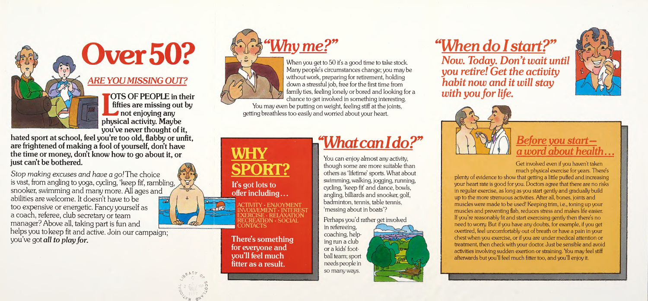**Over50?** 

#### **ARE YOU MISSING OUT?**

**FOTS OF PEOPLE in their** fifties are missing out by not enjoying any physical activity. Maybe you've never thought of it,

hated sport at school, feel you're too old, flabby or unfit, are frightened of making a fool of yourself, don't have the time or money, don't know how to go about it, or just can't be bothered.

 $R \uparrow$  c  $c$ 

 $\frac{1}{2}$ 

2 श

Stop making excuses and have a go! The choice is vast, from angling to yoga, cycling, `keep fit', rambling, snooker, swimming and many more. All ages and abilities are welcome. It doesn't have to be too expensive or energetic. Fancy yourself as a coach, referee, club secretary or team manager? Above all, taking part is fun and helps you to keep fit and active. Join our campaign; you've got all to play for.  $\mathbb{R}$ 

When you get to 50 it's a good time to take stock. Many people's circumstances change, you may be without work, preparing for retirement, holding down a stressful job, free for the first time from family ties, feeling lonely or bored and looking for a chance to get involved in something interesting.





It's got lots to

**WHY** 

offer including...

**SPORT?** 

You can enjoy almost any activity, though some are more suitable than others as 'lifetime' sports. What about swimming, walking, jogging, running, cycling, 'keep fit' and dance, bowls, angling, billiards and snooker, golf, badminton, tennis, table tennis, `messing about in boats'?

### Before you start  $\#$  a word about health...

You may even be putting on weight, feeling stiff at the joints, getting breathless too easily and worried about your heart.

EXERCISE • RELAXATION RECREATION • SOCIAL CONTACTS There's something for everyone and you'll feel much

fitter as a result.

CTIVITY · ENJOYMENT VOLVEMENT · INTEREST

# -"Whatcanldo?"

Perhaps you'd rather get involved

in refereeing, coaching, helping run a club or a kids' football team; sport needs people in so many ways.



### "When do I start,?" Now. Today. Don't wait until you retire! Get the activity habit now and it will stay with you for life.



Get involved even if you haven't taken much physical exercise for years. There's plenty of evidence to show that getting a little puffed and increasing your heart rate is good for you. Doctors agree that there are no risks in regular exercise, as long as you start gently and gradually build up to the more strenuous activities. After all, bones, joints and muscles were made to be used! Keeping trim, i.e., toning up your muscles and preventing flab, reduces stress and makes life easier. If you're reasonably fit and start exercising gently then there's no need to worry. But if you have any doubts, for example, if you get overtired, feel uncomfortably out of breath or have a pain in your chest when you exercise, or if you are under medical attention or treatment, then check with your doctor. Just be sensible and avoid activities involving sudden exertion or straining. You may feel stiff afterwards but you'll feel much fitter too, and you'll enjoy it.